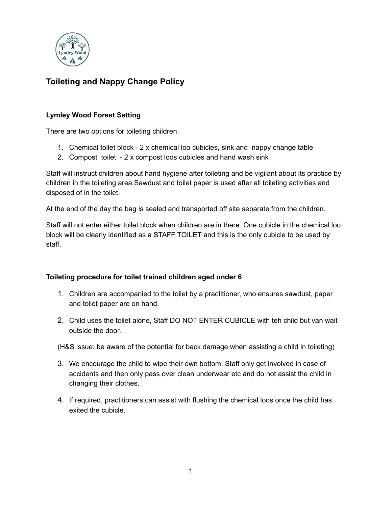

# **Toileting and Nappy Change Policy**

# **Lymley Wood Forest Setting**

There are two options for toileting children.

- 1. Chemical toilet block 2 x chemical loo cubicles, sink and nappy change table
- 2. Compost toilet 2 x compost loos cubicles and hand wash sink

Staff will instruct children about hand hygiene after toileting and be vigilant about its practice by children in the toileting area.Sawdust and toilet paper is used after all toileting activities and disposed of in the toilet.

At the end of the day the bag is sealed and transported off site separate from the children.

Staff will not enter either toilet block when children are in there. One cubicle in the chemical loo block will be clearly identified as a STAFF TOILET and this is the only cubicle to be used by staff.

# **Toileting procedure for toilet trained children aged under 6**

- 1. Children are accompanied to the toilet by a practitioner, who ensures sawdust, paper and toilet paper are on hand.
- 2. Child uses the toilet alone, Staff DO NOT ENTER CUBICLE with teh child but van wait outside the door.

(H&S issue: be aware of the potential for back damage when assisting a child in toileting)

- 3. We encourage the child to wipe their own bottom. Staff only get involved in case of accidents and then only pass over clean underwear etc and do not assist the child in changing their clothes.
- 4. If required, practitioners can assist with flushing the chemical loos once the child has exited the cubicle.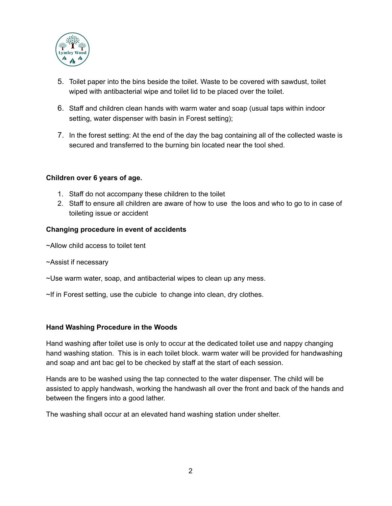

- 5. Toilet paper into the bins beside the toilet. Waste to be covered with sawdust, toilet wiped with antibacterial wipe and toilet lid to be placed over the toilet.
- 6. Staff and children clean hands with warm water and soap (usual taps within indoor setting, water dispenser with basin in Forest setting);
- 7. In the forest setting: At the end of the day the bag containing all of the collected waste is secured and transferred to the burning bin located near the tool shed.

## **Children over 6 years of age.**

- 1. Staff do not accompany these children to the toilet
- 2. Staff to ensure all children are aware of how to use the loos and who to go to in case of toileting issue or accident

## **Changing procedure in event of accidents**

~Allow child access to toilet tent

~Assist if necessary

~Use warm water, soap, and antibacterial wipes to clean up any mess.

~If in Forest setting, use the cubicle to change into clean, dry clothes.

### **Hand Washing Procedure in the Woods**

Hand washing after toilet use is only to occur at the dedicated toilet use and nappy changing hand washing station. This is in each toilet block. warm water will be provided for handwashing and soap and ant bac gel to be checked by staff at the start of each session.

Hands are to be washed using the tap connected to the water dispenser. The child will be assisted to apply handwash, working the handwash all over the front and back of the hands and between the fingers into a good lather.

The washing shall occur at an elevated hand washing station under shelter.